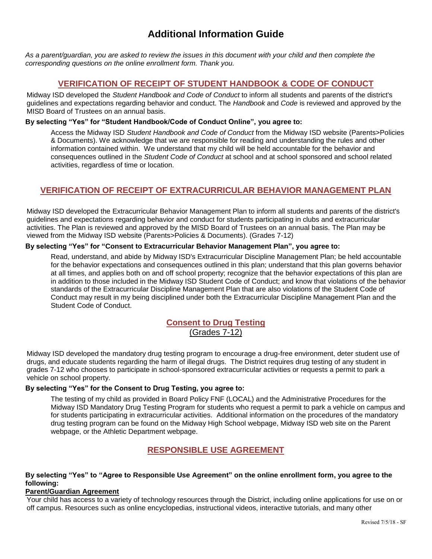# **Additional Information Guide**

*As a parent/guardian, you are asked to review the issues in this document with your child and then complete the corresponding questions on the online enrollment form. Thank you.*

## **VERIFICATION OF RECEIPT OF STUDENT HANDBOOK & CODE OF CONDUCT**

Midway ISD developed the *Student Handbook and Code of Conduct* to inform all students and parents of the district's guidelines and expectations regarding behavior and conduct. The *Handbook* and *Code* is reviewed and approved by the MISD Board of Trustees on an annual basis.

#### **By selecting "Yes" for "Student Handbook/Code of Conduct Online", you agree to:**

Access the Midway ISD *Student Handbook and Code of Conduct* from the Midway ISD website (Parents>Policies & Documents). We acknowledge that we are responsible for reading and understanding the rules and other information contained within. We understand that my child will be held accountable for the behavior and consequences outlined in the *Student Code of Conduct* at school and at school sponsored and school related activities, regardless of time or location.

## **VERIFICATION OF RECEIPT OF EXTRACURRICULAR BEHAVIOR MANAGEMENT PLAN**

Midway ISD developed the Extracurricular Behavior Management Plan to inform all students and parents of the district's guidelines and expectations regarding behavior and conduct for students participating in clubs and extracurricular activities. The Plan is reviewed and approved by the MISD Board of Trustees on an annual basis. The Plan may be viewed from the Midway ISD website (Parents>Policies & Documents). (Grades 7-12)

#### **By selecting "Yes" for "Consent to Extracurricular Behavior Management Plan", you agree to:**

Read, understand, and abide by Midway ISD's Extracurricular Discipline Management Plan; be held accountable for the behavior expectations and consequences outlined in this plan; understand that this plan governs behavior at all times, and applies both on and off school property; recognize that the behavior expectations of this plan are in addition to those included in the Midway ISD Student Code of Conduct; and know that violations of the behavior standards of the Extracurricular Discipline Management Plan that are also violations of the Student Code of Conduct may result in my being disciplined under both the Extracurricular Discipline Management Plan and the Student Code of Conduct.

## **Consent to Drug Testing** (Grades 7-12)

Midway ISD developed the mandatory drug testing program to encourage a drug-free environment, deter student use of drugs, and educate students regarding the harm of illegal drugs. The District requires drug testing of any student in grades 7-12 who chooses to participate in school-sponsored extracurricular activities or requests a permit to park a vehicle on school property.

### **By selecting "Yes" for the Consent to Drug Testing, you agree to:**

The testing of my child as provided in Board Policy FNF (LOCAL) and the Administrative Procedures for the Midway ISD Mandatory Drug Testing Program for students who request a permit to park a vehicle on campus and for students participating in extracurricular activities. Additional information on the procedures of the mandatory drug testing program can be found on the Midway High School webpage, Midway ISD web site on the Parent webpage, or the Athletic Department webpage.

## **RESPONSIBLE USE AGREEMENT**

#### **By selecting "Yes" to "Agree to Responsible Use Agreement" on the online enrollment form, you agree to the following:**

#### **Parent/Guardian Agreement**

Your child has access to a variety of technology resources through the District, including online applications for use on or off campus. Resources such as online encyclopedias, instructional videos, interactive tutorials, and many other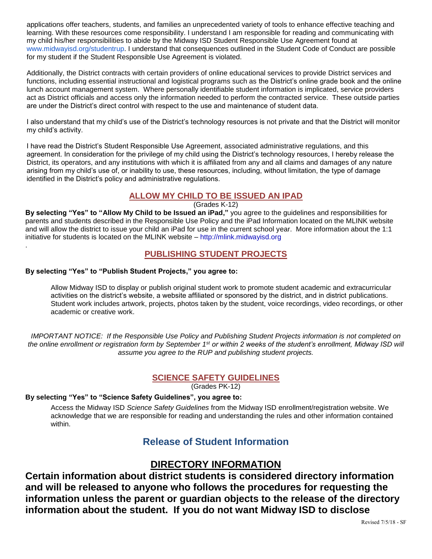applications offer teachers, students, and families an unprecedented variety of tools to enhance effective teaching and learning. With these resources come responsibility. I understand I am responsible for reading and communicating with my child his/her responsibilities to abide by the Midway ISD Student Responsible Use Agreement found at [www.midwayisd.org/studentrup.](http://www.midwayisd.org/studentrup) I understand that consequences outlined in the Student Code of Conduct are possible for my student if the Student Responsible Use Agreement is violated.

Additionally, the District contracts with certain providers of online educational services to provide District services and functions, including essential instructional and logistical programs such as the District's online grade book and the online lunch account management system. Where personally identifiable student information is implicated, service providers act as District officials and access only the information needed to perform the contracted service. These outside parties are under the District's direct control with respect to the use and maintenance of student data.

I also understand that my child's use of the District's technology resources is not private and that the District will monitor my child's activity.

I have read the District's Student Responsible Use Agreement, associated administrative regulations, and this agreement. In consideration for the privilege of my child using the District's technology resources, I hereby release the District, its operators, and any institutions with which it is affiliated from any and all claims and damages of any nature arising from my child's use of, or inability to use, these resources, including, without limitation, the type of damage identified in the District's policy and administrative regulations.

## **ALLOW MY CHILD TO BE ISSUED AN IPAD**

(Grades K-12)

**By selecting "Yes" to "Allow My Child to be Issued an iPad,"** you agree to the guidelines and responsibilities for parents and students described in the Responsible Use Policy and the iPad Information located on the MLINK website and will allow the district to issue your child an iPad for use in the current school year. More information about the 1:1 initiative for students is located on the MLINK website – [http://mlink.midwayisd.org](http://mlink.midwayisd.org/)

## **PUBLISHING STUDENT PROJECTS**

### **By selecting "Yes" to "Publish Student Projects," you agree to:**

.

Allow Midway ISD to display or publish original student work to promote student academic and extracurricular activities on the district's website, a website affiliated or sponsored by the district, and in district publications. Student work includes artwork, projects, photos taken by the student, voice recordings, video recordings, or other academic or creative work.

*IMPORTANT NOTICE: If the Responsible Use Policy and Publishing Student Projects information is not completed on the online enrollment or registration form by September 1st or within 2 weeks of the student's enrollment, Midway ISD will assume you agree to the RUP and publishing student projects.*

## **SCIENCE SAFETY GUIDELINES**

(Grades PK-12)

### **By selecting "Yes" to "Science Safety Guidelines", you agree to:**

Access the Midway ISD *Science Safety Guidelines* from the Midway ISD enrollment/registration website. We acknowledge that we are responsible for reading and understanding the rules and other information contained within.

## **Release of Student Information**

## **DIRECTORY INFORMATION**

**Certain information about district students is considered directory information and will be released to anyone who follows the procedures for requesting the information unless the parent or guardian objects to the release of the directory information about the student. If you do not want Midway ISD to disclose**